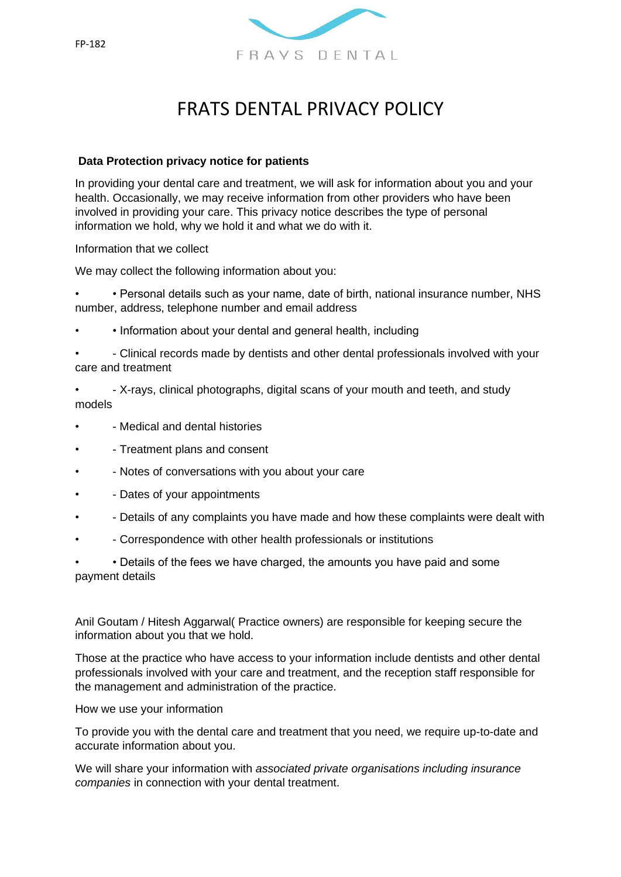

# FRATS DENTAL PRIVACY POLICY

## **Data Protection privacy notice for patients**

In providing your dental care and treatment, we will ask for information about you and your health. Occasionally, we may receive information from other providers who have been involved in providing your care. This privacy notice describes the type of personal information we hold, why we hold it and what we do with it.

Information that we collect

We may collect the following information about you:

• • Personal details such as your name, date of birth, national insurance number, NHS number, address, telephone number and email address

• • Information about your dental and general health, including

• - Clinical records made by dentists and other dental professionals involved with your care and treatment

• - X-rays, clinical photographs, digital scans of your mouth and teeth, and study models

- - Medical and dental histories
- - Treatment plans and consent
- - Notes of conversations with you about your care
- - Dates of your appointments
- - Details of any complaints you have made and how these complaints were dealt with
- - Correspondence with other health professionals or institutions

• • Details of the fees we have charged, the amounts you have paid and some payment details

Anil Goutam / Hitesh Aggarwal( Practice owners) are responsible for keeping secure the information about you that we hold.

Those at the practice who have access to your information include dentists and other dental professionals involved with your care and treatment, and the reception staff responsible for the management and administration of the practice.

How we use your information

To provide you with the dental care and treatment that you need, we require up-to-date and accurate information about you.

We will share your information with *associated private organisations including insurance companies* in connection with your dental treatment.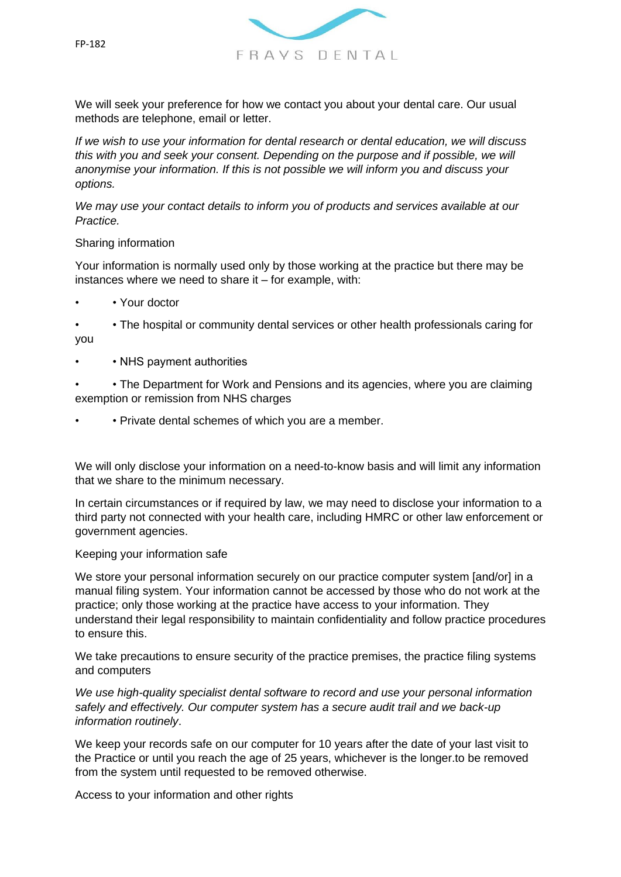

We will seek your preference for how we contact you about your dental care. Our usual methods are telephone, email or letter.

*If we wish to use your information for dental research or dental education, we will discuss this with you and seek your consent. Depending on the purpose and if possible, we will anonymise your information. If this is not possible we will inform you and discuss your options.* 

*We may use your contact details to inform you of products and services available at our Practice.* 

#### Sharing information

Your information is normally used only by those working at the practice but there may be instances where we need to share it – for example, with:

- • Your doctor
- • The hospital or community dental services or other health professionals caring for you
- • NHS payment authorities
- • The Department for Work and Pensions and its agencies, where you are claiming exemption or remission from NHS charges
- • Private dental schemes of which you are a member.

We will only disclose your information on a need-to-know basis and will limit any information that we share to the minimum necessary.

In certain circumstances or if required by law, we may need to disclose your information to a third party not connected with your health care, including HMRC or other law enforcement or government agencies.

#### Keeping your information safe

We store your personal information securely on our practice computer system [and/or] in a manual filing system. Your information cannot be accessed by those who do not work at the practice; only those working at the practice have access to your information. They understand their legal responsibility to maintain confidentiality and follow practice procedures to ensure this.

We take precautions to ensure security of the practice premises, the practice filing systems and computers

*We use high-quality specialist dental software to record and use your personal information safely and effectively. Our computer system has a secure audit trail and we back-up information routinely*.

We keep your records safe on our computer for 10 years after the date of your last visit to the Practice or until you reach the age of 25 years, whichever is the longer.to be removed from the system until requested to be removed otherwise.

Access to your information and other rights